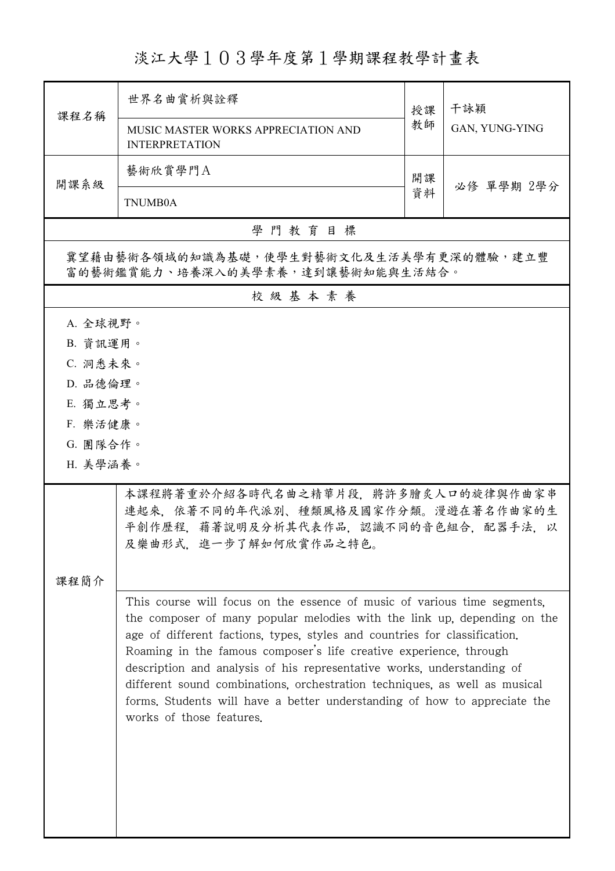淡江大學103學年度第1學期課程教學計畫表

| 課程名稱                                                                                                                                                                                                                                                                                                                                                                                                                                                                                                                                                                      | 世界名曲賞析與詮釋                                                                                                                                      | 授課 | 干詠穎<br>GAN, YUNG-YING |  |  |  |
|---------------------------------------------------------------------------------------------------------------------------------------------------------------------------------------------------------------------------------------------------------------------------------------------------------------------------------------------------------------------------------------------------------------------------------------------------------------------------------------------------------------------------------------------------------------------------|------------------------------------------------------------------------------------------------------------------------------------------------|----|-----------------------|--|--|--|
|                                                                                                                                                                                                                                                                                                                                                                                                                                                                                                                                                                           | MUSIC MASTER WORKS APPRECIATION AND<br><b>INTERPRETATION</b>                                                                                   | 教師 |                       |  |  |  |
| 開課系級                                                                                                                                                                                                                                                                                                                                                                                                                                                                                                                                                                      | 藝術欣賞學門A                                                                                                                                        | 開課 |                       |  |  |  |
|                                                                                                                                                                                                                                                                                                                                                                                                                                                                                                                                                                           | <b>TNUMB0A</b>                                                                                                                                 | 資料 | 必修 單學期 2學分            |  |  |  |
|                                                                                                                                                                                                                                                                                                                                                                                                                                                                                                                                                                           | 學門教育目標                                                                                                                                         |    |                       |  |  |  |
| 冀望藉由藝術各領域的知識為基礎,使學生對藝術文化及生活美學有更深的體驗,建立豐<br>富的藝術鑑賞能力、培養深入的美學素養,達到讓藝術知能與生活結合。                                                                                                                                                                                                                                                                                                                                                                                                                                                                                               |                                                                                                                                                |    |                       |  |  |  |
|                                                                                                                                                                                                                                                                                                                                                                                                                                                                                                                                                                           | 校級基本素養                                                                                                                                         |    |                       |  |  |  |
| A. 全球視野。                                                                                                                                                                                                                                                                                                                                                                                                                                                                                                                                                                  |                                                                                                                                                |    |                       |  |  |  |
| B. 資訊運用。                                                                                                                                                                                                                                                                                                                                                                                                                                                                                                                                                                  |                                                                                                                                                |    |                       |  |  |  |
| C. 洞悉未來。                                                                                                                                                                                                                                                                                                                                                                                                                                                                                                                                                                  |                                                                                                                                                |    |                       |  |  |  |
| D. 品德倫理。                                                                                                                                                                                                                                                                                                                                                                                                                                                                                                                                                                  |                                                                                                                                                |    |                       |  |  |  |
| E. 獨立思考。                                                                                                                                                                                                                                                                                                                                                                                                                                                                                                                                                                  |                                                                                                                                                |    |                       |  |  |  |
| F. 樂活健康。                                                                                                                                                                                                                                                                                                                                                                                                                                                                                                                                                                  |                                                                                                                                                |    |                       |  |  |  |
| G. 團隊合作。<br>H. 美學涵養。                                                                                                                                                                                                                                                                                                                                                                                                                                                                                                                                                      |                                                                                                                                                |    |                       |  |  |  |
|                                                                                                                                                                                                                                                                                                                                                                                                                                                                                                                                                                           |                                                                                                                                                |    |                       |  |  |  |
|                                                                                                                                                                                                                                                                                                                                                                                                                                                                                                                                                                           | 本課程將著重於介紹各時代名曲之精華片段,將許多膾炙人口的旋律與作曲家串<br>連起來,依著不同的年代派別、種類風格及國家作分類。漫遊在著名作曲家的生<br>平創作歷程, 藉著說明及分析其代表作品, 認識不同的音色組合, 配器手法. 以<br>及樂曲形式,進一步了解如何欣賞作品之特色。 |    |                       |  |  |  |
| 课程简介                                                                                                                                                                                                                                                                                                                                                                                                                                                                                                                                                                      |                                                                                                                                                |    |                       |  |  |  |
| This course will focus on the essence of music of various time segments.<br>the composer of many popular melodies with the link up, depending on the<br>age of different factions, types, styles and countries for classification.<br>Roaming in the famous composer's life creative experience, through<br>description and analysis of his representative works, understanding of<br>different sound combinations, orchestration techniques, as well as musical<br>forms. Students will have a better understanding of how to appreciate the<br>works of those features. |                                                                                                                                                |    |                       |  |  |  |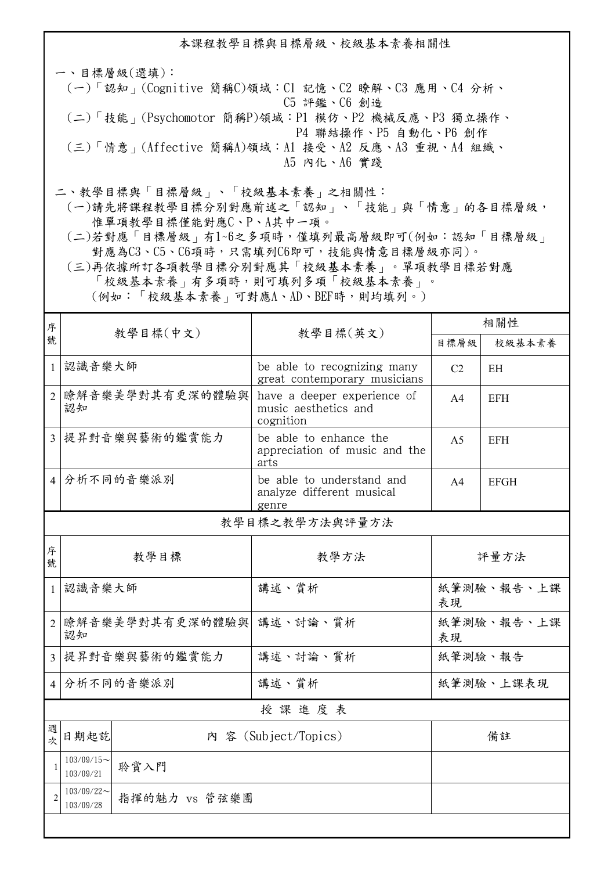本課程教學目標與目標層級、校級基本素養相關性

一、目標層級(選填): (一)「認知」(Cognitive 簡稱C)領域:C1 記憶、C2 瞭解、C3 應用、C4 分析、 C5 評鑑、C6 創造 (二)「技能」(Psychomotor 簡稱P)領域:P1 模仿、P2 機械反應、P3 獨立操作、 P4 聯結操作、P5 自動化、P6 創作 (三)「情意」(Affective 簡稱A)領域:A1 接受、A2 反應、A3 重視、A4 組織、 A5 內化、A6 實踐

二、教學目標與「目標層級」、「校級基本素養」之相關性:

 (一)請先將課程教學目標分別對應前述之「認知」、「技能」與「情意」的各目標層級, 惟單項教學目標僅能對應C、P、A其中一項。

 (二)若對應「目標層級」有1~6之多項時,僅填列最高層級即可(例如:認知「目標層級」 對應為C3、C5、C6項時,只需填列C6即可,技能與情意目標層級亦同)。

 (三)再依據所訂各項教學目標分別對應其「校級基本素養」。單項教學目標若對應 「校級基本素養」有多項時,則可填列多項「校級基本素養」。 (例如:「校級基本素養」可對應A、AD、BEF時,則均填列。)

| 序              | 教學目標(中文)                                    |  |                                                                  | 相關性              |             |  |  |  |
|----------------|---------------------------------------------|--|------------------------------------------------------------------|------------------|-------------|--|--|--|
| 號              |                                             |  | 教學目標(英文)                                                         | 目標層級             | 校級基本素養      |  |  |  |
| $\mathbf{1}$   | 認識音樂大師                                      |  | be able to recognizing many<br>great contemporary musicians      | C <sub>2</sub>   | EH          |  |  |  |
| $\overline{2}$ | 瞭解音樂美學對其有更深的體驗與<br>認知                       |  | have a deeper experience of<br>music aesthetics and<br>cognition | A <sub>4</sub>   | <b>EFH</b>  |  |  |  |
| $\overline{3}$ | 提昇對音樂與藝術的鑑賞能力                               |  | be able to enhance the<br>appreciation of music and the<br>arts  | A <sub>5</sub>   | <b>EFH</b>  |  |  |  |
| $\overline{4}$ | 分析不同的音樂派別                                   |  | be able to understand and<br>analyze different musical<br>genre  | A <sub>4</sub>   | <b>EFGH</b> |  |  |  |
| 教學目標之教學方法與評量方法 |                                             |  |                                                                  |                  |             |  |  |  |
| 序<br>號         | 教學目標                                        |  | 教學方法                                                             | 評量方法             |             |  |  |  |
| $\mathbf{1}$   | 認識音樂大師                                      |  | 講述、賞析                                                            | 紙筆測驗、報告、上課<br>表現 |             |  |  |  |
| 2              | 瞭解音樂美學對其有更深的體驗與<br>認知                       |  | 講述、討論、賞析                                                         | 紙筆測驗、報告、上課<br>表現 |             |  |  |  |
| $\overline{3}$ | 提昇對音樂與藝術的鑑賞能力                               |  | 講述、討論、賞析                                                         | 紙筆測驗、報告          |             |  |  |  |
| $\overline{4}$ | 分析不同的音樂派別                                   |  | 講述、賞析                                                            | 紙筆測驗、上課表現        |             |  |  |  |
| 授課進度表          |                                             |  |                                                                  |                  |             |  |  |  |
| 次              | 日期起訖                                        |  | 內 容 (Subject/Topics)                                             | 備註               |             |  |  |  |
| $\mathbf{1}$   | $103/09/15$ ~<br>聆賞入門<br>103/09/21          |  |                                                                  |                  |             |  |  |  |
| $\mathfrak{D}$ | $103/09/22$ ~<br>指揮的魅力 vs 管弦樂團<br>103/09/28 |  |                                                                  |                  |             |  |  |  |
|                |                                             |  |                                                                  |                  |             |  |  |  |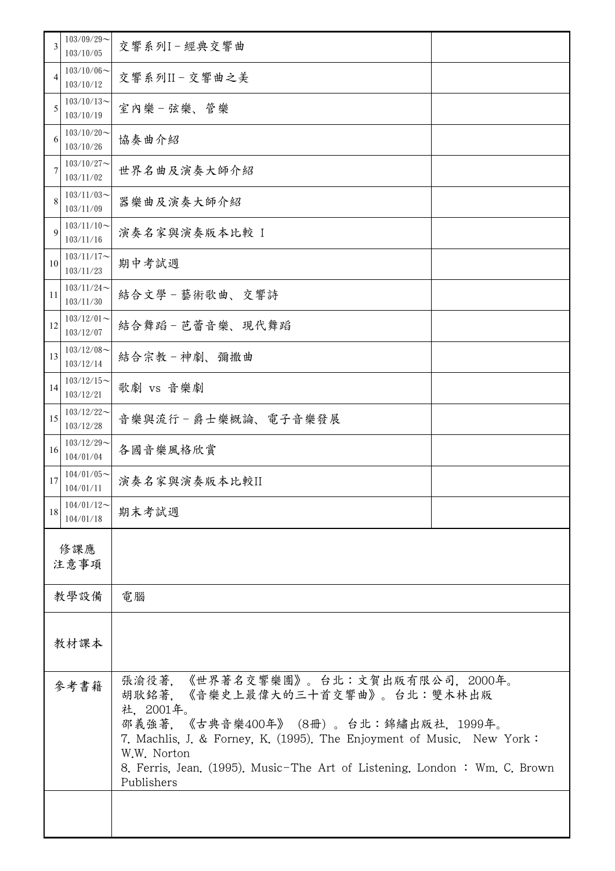| 3           | $103/09/29$ ~<br>103/10/05    | 交響系列I-經典交響曲                                                                                                                                                                                                                                                                                                     |  |  |
|-------------|-------------------------------|-----------------------------------------------------------------------------------------------------------------------------------------------------------------------------------------------------------------------------------------------------------------------------------------------------------------|--|--|
| 4           | $103/10/06 \sim$<br>103/10/12 | 交響系列II-交響曲之美                                                                                                                                                                                                                                                                                                    |  |  |
| 5           | $103/10/13$ ~<br>103/10/19    | 室內樂一弦樂、管樂                                                                                                                                                                                                                                                                                                       |  |  |
| 6           | $103/10/20$ ~<br>103/10/26    | 協奏曲介紹                                                                                                                                                                                                                                                                                                           |  |  |
| 7           | $103/10/27$ ~<br>103/11/02    | 世界名曲及演奏大師介紹                                                                                                                                                                                                                                                                                                     |  |  |
| 8           | $103/11/03$ ~<br>103/11/09    | 器樂曲及演奏大師介紹                                                                                                                                                                                                                                                                                                      |  |  |
| $\mathbf Q$ | $103/11/10$ ~<br>103/11/16    | 演奏名家與演奏版本比較 I                                                                                                                                                                                                                                                                                                   |  |  |
| 10          | $103/11/17$ ~<br>103/11/23    | 期中考試週                                                                                                                                                                                                                                                                                                           |  |  |
| 11          | $103/11/24$ ~<br>103/11/30    | 結合文學-藝術歌曲、交響詩                                                                                                                                                                                                                                                                                                   |  |  |
| 12          | $103/12/01$ ~<br>103/12/07    | 結合舞蹈-芭蕾音樂、現代舞蹈                                                                                                                                                                                                                                                                                                  |  |  |
| 13          | $103/12/08$ ~<br>103/12/14    | 結合宗教-神劇、彌撒曲                                                                                                                                                                                                                                                                                                     |  |  |
| 14          | $103/12/15$ ~<br>103/12/21    | 歌劇 vs 音樂劇                                                                                                                                                                                                                                                                                                       |  |  |
| 15          | $103/12/22$ ~<br>103/12/28    | 音樂與流行-爵士樂概論、電子音樂發展                                                                                                                                                                                                                                                                                              |  |  |
| 16          | $103/12/29$ ~<br>104/01/04    | 各國音樂風格欣賞                                                                                                                                                                                                                                                                                                        |  |  |
| 17          | $104/01/05$ ~<br>104/01/11    | 演奏名家與演奏版本比較II                                                                                                                                                                                                                                                                                                   |  |  |
| 18          | $104/01/12$ ~<br>104/01/18    | 期末考試週                                                                                                                                                                                                                                                                                                           |  |  |
| 修課應<br>注意事項 |                               |                                                                                                                                                                                                                                                                                                                 |  |  |
|             | 教學設備                          | 電腦                                                                                                                                                                                                                                                                                                              |  |  |
|             |                               |                                                                                                                                                                                                                                                                                                                 |  |  |
| 教材課本        |                               |                                                                                                                                                                                                                                                                                                                 |  |  |
| 參考書籍        |                               | 張渝役著,《世界著名交響樂團》。台北:文賀出版有限公司,2000年。<br>胡耿銘著, 《音樂史上最偉大的三十首交響曲》。台北:雙木林出版<br>社, 2001年。<br>邵義強著, 《古典音樂400年》 (8冊)。台北:錦繡出版社, 1999年。<br>7. Machlis, J. & Forney, K. (1995). The Enjoyment of Music. New York:<br>W.W. Norton<br>8. Ferris, Jean. (1995). Music-The Art of Listening. London: Wm. C. Brown<br>Publishers |  |  |
|             |                               |                                                                                                                                                                                                                                                                                                                 |  |  |